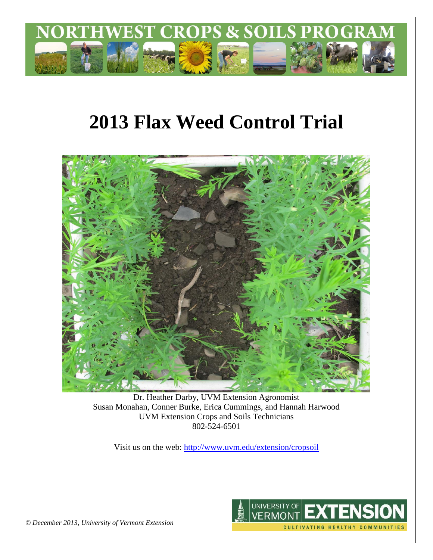

# **2013 Flax Weed Control Trial**



Dr. Heather Darby, UVM Extension Agronomist Susan Monahan, Conner Burke, Erica Cummings, and Hannah Harwood UVM Extension Crops and Soils Technicians 802-524-6501

Visit us on the web: <http://www.uvm.edu/extension/cropsoil>



*© December 2013, University of Vermont Extension*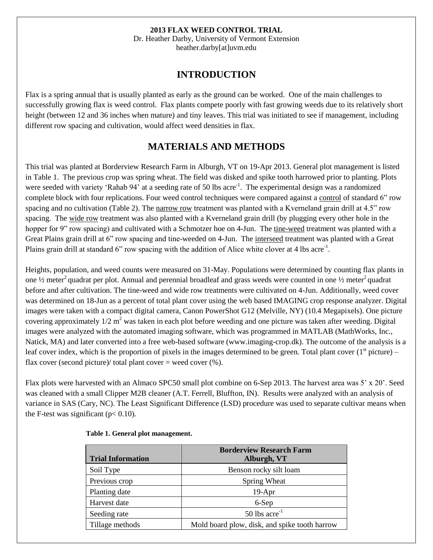#### **2013 FLAX WEED CONTROL TRIAL**

Dr. Heather Darby, University of Vermont Extension heather.darby[at]uvm.edu

## **INTRODUCTION**

Flax is a spring annual that is usually planted as early as the ground can be worked. One of the main challenges to successfully growing flax is weed control. Flax plants compete poorly with fast growing weeds due to its relatively short height (between 12 and 36 inches when mature) and tiny leaves. This trial was initiated to see if management, including different row spacing and cultivation, would affect weed densities in flax.

## **MATERIALS AND METHODS**

This trial was planted at Borderview Research Farm in Alburgh, VT on 19-Apr 2013. General plot management is listed in Table 1. The previous crop was spring wheat. The field was disked and spike tooth harrowed prior to planting. Plots were seeded with variety 'Rahab 94' at a seeding rate of 50 lbs acre<sup>-1</sup>. The experimental design was a randomized complete block with four replications. Four weed control techniques were compared against a control of standard 6" row spacing and no cultivation (Table 2). The narrow row treatment was planted with a Kverneland grain drill at 4.5" row spacing. The wide row treatment was also planted with a Kverneland grain drill (by plugging every other hole in the hopper for 9" row spacing) and cultivated with a Schmotzer hoe on 4-Jun. The tine-weed treatment was planted with a Great Plains grain drill at 6" row spacing and tine-weeded on 4-Jun. The interseed treatment was planted with a Great Plains grain drill at standard 6" row spacing with the addition of Alice white clover at 4 lbs acre<sup>-1</sup>.

Heights, population, and weed counts were measured on 31-May. Populations were determined by counting flax plants in one  $\frac{1}{2}$  meter<sup>2</sup> quadrat per plot. Annual and perennial broadleaf and grass weeds were counted in one  $\frac{1}{2}$  meter<sup>2</sup> quadrat before and after cultivation. The tine-weed and wide row treatments were cultivated on 4-Jun. Additionally, weed cover was determined on 18-Jun as a percent of total plant cover using the web based IMAGING crop response analyzer. Digital images were taken with a compact digital camera, Canon PowerShot G12 (Melville, NY) (10.4 Megapixels). One picture covering approximately  $1/2$  m<sup>2</sup> was taken in each plot before weeding and one picture was taken after weeding. Digital images were analyzed with the automated imaging software, which was programmed in MATLAB (MathWorks, Inc., Natick, MA) and later converted into a free web-based software (www.imaging-crop.dk). The outcome of the analysis is a leaf cover index, which is the proportion of pixels in the images determined to be green. Total plant cover  $(1<sup>st</sup>$  picture) – flax cover (second picture)/ total plant cover  $=$  weed cover  $(\%).$ 

Flax plots were harvested with an Almaco SPC50 small plot combine on 6-Sep 2013. The harvest area was 5' x 20'. Seed was cleaned with a small Clipper M2B cleaner (A.T. Ferrell, Bluffton, IN). Results were analyzed with an analysis of variance in SAS (Cary, NC). The Least Significant Difference (LSD) procedure was used to separate cultivar means when the F-test was significant  $(p< 0.10)$ .

| <b>Trial Information</b> | <b>Borderview Research Farm</b><br>Alburgh, VT |
|--------------------------|------------------------------------------------|
| Soil Type                | Benson rocky silt loam                         |
| Previous crop            | Spring Wheat                                   |
| Planting date            | $19-Apr$                                       |
| Harvest date             | 6-Sep                                          |
| Seeding rate             | $50$ lbs acre <sup>-1</sup>                    |
| Tillage methods          | Mold board plow, disk, and spike tooth harrow  |

#### **Table 1. General plot management.**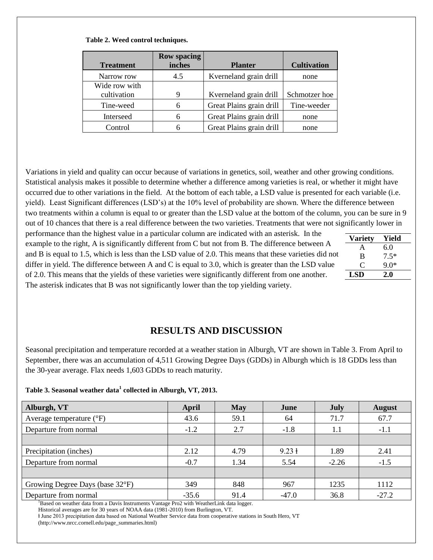| <b>Treatment</b>             | <b>Row spacing</b><br>inches | <b>Planter</b>           | <b>Cultivation</b> |
|------------------------------|------------------------------|--------------------------|--------------------|
| Narrow row                   | 4.5                          | Kverneland grain drill   | none               |
| Wide row with<br>cultivation | 9                            | Kverneland grain drill   | Schmotzer hoe      |
| Tine-weed                    | 6                            | Great Plains grain drill | Tine-weeder        |
| Interseed                    | 6                            | Great Plains grain drill | none               |
| Control                      | 6                            | Great Plains grain drill | none               |

#### **Table 2. Weed control techniques.**

Variations in yield and quality can occur because of variations in genetics, soil, weather and other growing conditions. Statistical analysis makes it possible to determine whether a difference among varieties is real, or whether it might have occurred due to other variations in the field. At the bottom of each table, a LSD value is presented for each variable (i.e. yield). Least Significant differences (LSD's) at the 10% level of probability are shown. Where the difference between two treatments within a column is equal to or greater than the LSD value at the bottom of the column, you can be sure in 9 out of 10 chances that there is a real difference between the two varieties. Treatments that were not significantly lower in

> **Variety Yield** A 6.0 B 7.5\*  $C = 9.0*$ **LSD 2.0**

| performance than the highest value in a particular column are indicated with an asterisk. In the        |
|---------------------------------------------------------------------------------------------------------|
| example to the right, A is significantly different from C but not from B. The difference between A      |
| and B is equal to 1.5, which is less than the LSD value of 2.0. This means that these varieties did not |
| differ in yield. The difference between A and C is equal to 3.0, which is greater than the LSD value    |
| of 2.0. This means that the yields of these varieties were significantly different from one another.    |
| The asterisk indicates that B was not significantly lower than the top yielding variety.                |

# **RESULTS AND DISCUSSION**

Seasonal precipitation and temperature recorded at a weather station in Alburgh, VT are shown in Table 3. From April to September, there was an accumulation of 4,511 Growing Degree Days (GDDs) in Alburgh which is 18 GDDs less than the 30-year average. Flax needs 1,603 GDDs to reach maturity.

#### **Table 3. Seasonal weather data<sup>1</sup> collected in Alburgh, VT, 2013.**

| Alburgh, VT                         | April   | <b>May</b> | June              | July    | <b>August</b> |
|-------------------------------------|---------|------------|-------------------|---------|---------------|
| Average temperature $({}^{\circ}F)$ | 43.6    | 59.1       | 64                | 71.7    | 67.7          |
| Departure from normal               | $-1.2$  | 2.7        | $-1.8$            | 1.1     | $-1.1$        |
|                                     |         |            |                   |         |               |
| Precipitation (inches)              | 2.12    | 4.79       | $9.23 \text{ }$ 1 | 1.89    | 2.41          |
| Departure from normal               | $-0.7$  | 1.34       | 5.54              | $-2.26$ | $-1.5$        |
|                                     |         |            |                   |         |               |
| Growing Degree Days (base 32°F)     | 349     | 848        | 967               | 1235    | 1112          |
| Departure from normal               | $-35.6$ | 91.4       | $-47.0$           | 36.8    | $-27.2$       |

<sup>1</sup>Based on weather data from a Davis Instruments Vantage Pro2 with WeatherLink data logger.

Historical averages are for 30 years of NOAA data (1981-2010) from Burlington, VT.

ⱡ June 2013 precipitation data based on National Weather Service data from cooperative stations in South Hero, VT (http://www.nrcc.cornell.edu/page\_summaries.html)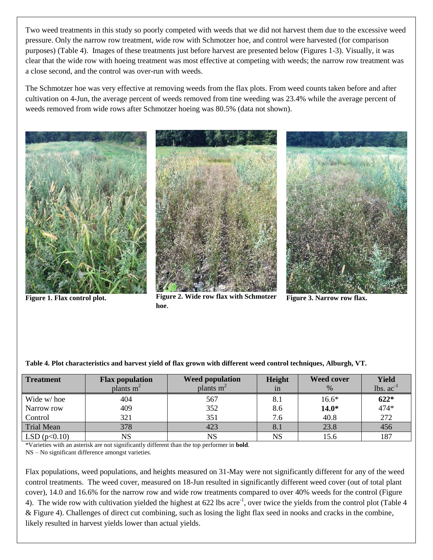Two weed treatments in this study so poorly competed with weeds that we did not harvest them due to the excessive weed pressure. Only the narrow row treatment, wide row with Schmotzer hoe, and control were harvested (for comparison purposes) (Table 4). Images of these treatments just before harvest are presented below (Figures 1-3). Visually, it was clear that the wide row with hoeing treatment was most effective at competing with weeds; the narrow row treatment was a close second, and the control was over-run with weeds.

The Schmotzer hoe was very effective at removing weeds from the flax plots. From weed counts taken before and after cultivation on 4-Jun, the average percent of weeds removed from tine weeding was 23.4% while the average percent of weeds removed from wide rows after Schmotzer hoeing was 80.5% (data not shown).





Figure 1. Flax control plot. Figure 2. Wide row flax with Schmotzer **hoe**.



**Figure 3. Narrow row flax.**

| <b>Treatment</b>  | <b>Flax population</b> | <b>Weed population</b> | Height | <b>Weed cover</b> | Yield       |
|-------------------|------------------------|------------------------|--------|-------------------|-------------|
|                   | plants $m2$            | plants $m2$            | 1n     | $\%$              | $lbs. ac-1$ |
| Wide w/hoe        | 404                    | 567                    | 8.1    | $16.6*$           | $622*$      |
| Narrow row        | 409                    | 352                    | 8.6    | $14.0*$           | 474*        |
| Control           | 321                    | 351                    | 7.6    | 40.8              | 272         |
| <b>Trial Mean</b> | 378                    | 423                    | 8.1    | 23.8              | 456         |
| LSD(p<0.10)       | NS                     | $_{\rm NS}$            | NS     | 15.6              | 187         |

**Table 4. Plot characteristics and harvest yield of flax grown with different weed control techniques, Alburgh, VT.**

\*Varieties with an asterisk are not significantly different than the top performer in **bold**.

NS – No significant difference amongst varieties.

Flax populations, weed populations, and heights measured on 31-May were not significantly different for any of the weed control treatments. The weed cover, measured on 18-Jun resulted in significantly different weed cover (out of total plant cover), 14.0 and 16.6% for the narrow row and wide row treatments compared to over 40% weeds for the control (Figure 4). The wide row with cultivation yielded the highest at 622 lbs acre<sup>-1</sup>, over twice the yields from the control plot (Table 4 & Figure 4). Challenges of direct cut combining, such as losing the light flax seed in nooks and cracks in the combine, likely resulted in harvest yields lower than actual yields.